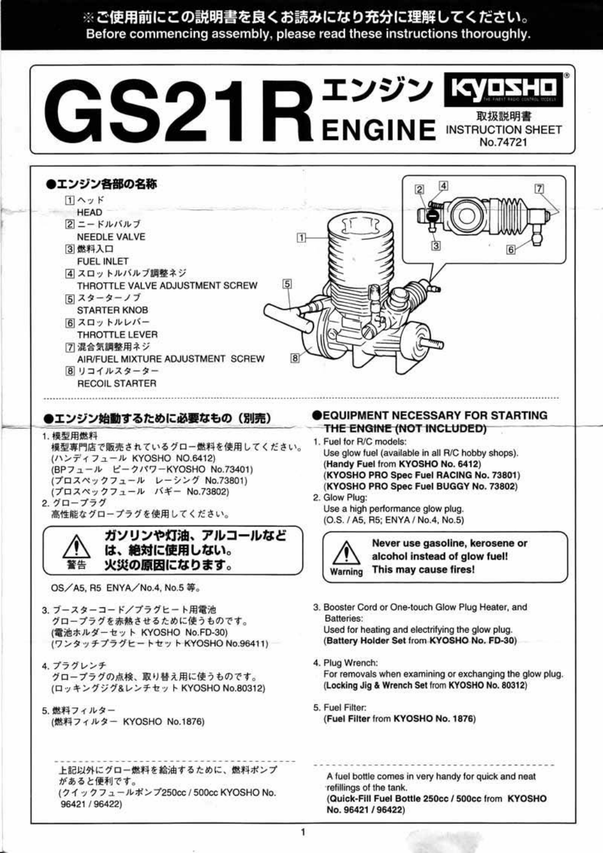※ご使用前にこの説明書を良くお読みになり充分に理解してください。 Before commencing assembly, please read these instructions thoroughly.



1. 模型用燃料 模型専門店で販売されているグロー燃料を使用してください。 (ハンディフュール KYOSHO NO.6412) (BPフュール ピークパワーKYOSHO No.73401) (プロスペックフュール レーシング No.73801) (プロスペックフュール バギー No.73802) 2. グロープラグ 高性能なグロープラグを使用してください。

ガソリンや灯油、アルコールなど は、絶対に使用しない。 火災の原因になります。

OS/A5, R5 ENYA/No.4, No.5 等。

- 3. ブースターコード/ブラグヒート用電池 グロープラグを赤熱させるために使うものです。 (電池ホルダーセット KYOSHO No.FD-30) (ワンタッチプラグヒートセット KYOSHO No.96411)
- 4. プラグレンチ グロープラグの点検、取り替え用に使うものです。
- THE ENGINE (NOT INCLUDED) 1. Fuel for R/C models:
- Use glow fuel (available in all R/C hobby shops). (Handy Fuel from KYOSHO No. 6412) (KYOSHO PRO Spec Fuel RACING No. 73801) (KYOSHO PRO Spec Fuel BUGGY No. 73802)
- 2. Glow Plug: Use a high performance glow plug. (O.S. / A5, R5; ENYA / No.4, No.5)



Never use gasoline, kerosene or alcohol instead of glow fuel! This may cause fires!

3. Booster Cord or One-touch Glow Plug Heater, and Batteries:

Used for heating and electrifying the glow plug. (Battery Holder Set from KYOSHO No. FD-30)

4. Plug Wrench:

1

For removals when examining or exchanging the glow plug.

(ロッキングジグ&レンチセット KYOSHO No.80312)

5. 燃料フィルター (燃料フィルター KYOSHO No.1876) (Locking Jig & Wrench Set from KYOSHO No. 80312)

5. Fuel Filter: (Fuel Filter from KYOSHO No. 1876)

上記以外にグロー燃料を給油するために、燃料ポンプ があると便利です。 (クイックフュールボンプ250cc / 500cc KYOSHO No. 96421 / 96422)

A fuel bottle comes in very handy for quick and neat refillings of the tank. (Quick-Fill Fuel Bottle 250cc / 500cc from KYOSHO No. 96421 / 96422)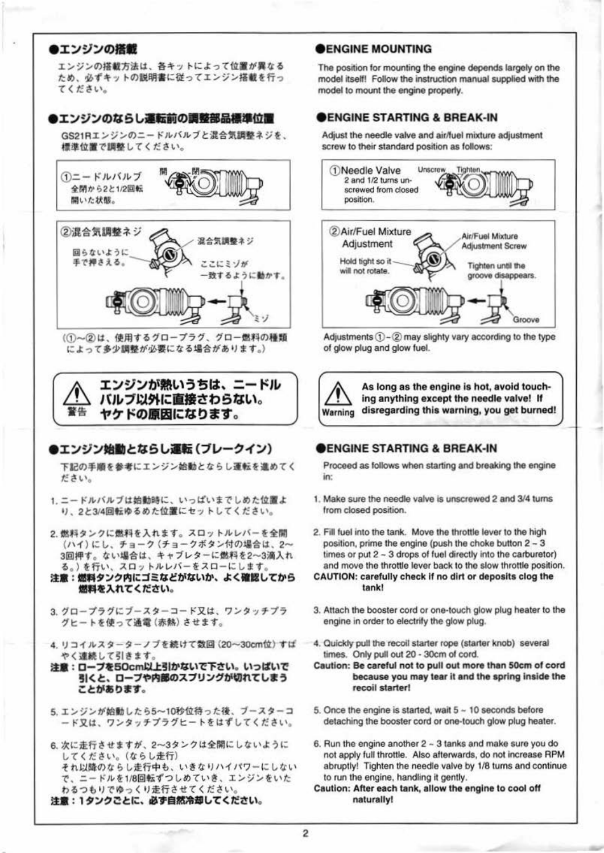## ●エンジンの搭載

エンジンの搭載方法は、各キットによって位置が異なる ため、必ずキットの説明書に従ってエンジン搭載を行っ てください。

### ●エンジンのならし運転前の調整部品標準位置

GS21Rエンジンのニードルバルブと混合気調整ネジを、 標準位置で調整してください。



(1)~2は、使用するグロープラグ、グロー燃料の種類 によって多少調整が必要になる場合があります。)



# ●エンジン始動とならし運転(ブレークイン)

下記の手順を参考にエンジン始動とならし運転を進めてく ださい。

- 1. ニードルバルブは始動時に、いっぱいまでしめた位置よ り、2と3/4回転ゆるめた位置にセットしてください。
- 2. 燃料タンクに燃料を入れます。スロットルレバーを全開 (ハイ)にし、チョーク (チョークボタン付の場合は、2~ 3回押す。ない場合は、キャブレターに燃料を2~3滴入れ る。) を行い、スロットルレバーをスローにします。
- 注意:燃料タンク内にゴミなどがないか、よく確認してから 燃料を入れてください。
- 3. グロープラグにブースターコード又は、ワンタッチプラ グヒートを使って通電 (赤熱) させます。
- 4. リコイルスターターノブを続けて数回 (20~30cm位) すば やく連続して引きます。
- 注意:ローブを50cm以上引かないで下さい。いっぱいで

### **SENGINE MOUNTING**

The position for mounting the engine depends largely on the model itself! Follow the instruction manual supplied with the model to mount the engine properly.

## ENGINE STARTING & BREAK-IN

Adjust the needle valve and air/fuel mixture adjustment screw to their standard position as follows:



Adjustments  $(1) - (2)$  may slighty vary according to the type of glow plug and glow fuel.



 $\overline{\mathbf{2}}$ 

As long as the engine is hot, avoid touching anything except the needle valve! If disregarding this warning, you get burned!

### DENGINE STARTING & BREAK-IN

Proceed as follows when starting and breaking the engine in:

- 1. Make sure the needle valve is unscrewed 2 and 3/4 turns from closed position.
- 2. Fill fuel into the tank. Move the throttle lever to the high position, prime the engine (push the choke button 2 - 3 times or put 2 - 3 drops of fuel directly into the carburetor) and move the throttle lever back to the slow throttle position.
- CAUTION: carefully check if no dirt or deposits clog the tank!
- 3. Attach the booster cord or one-touch glow plug heater to the engine in order to electrify the glow plug.
- 4. Quickly pull the recoil starter rope (starter knob) several times. Only pull out 20 - 30cm of cord.
- Caution: Be careful not to pull out more than 50cm of cord because you may tear it and the spring inside the

#### 引くと、ローフや内部のスフリンクか切れてしまう ことがあります。

5. エンジンが始動したら5~10秒位待った後、ブースターコ ード又は、ワンタッチプラグヒートをはずしてください。

6. 次に走行させますが、2~3タンクは全開にしないように してください。(ならし走行) それ以降のならし走行中も、いきなりハイパワーにしない で、ニードルを1/8回転ずつしめていき、エンジンをいた わるつもりでゆっくり走行させてください。 注意:1タンクごとに、必ず自然冷却してください。

recoil starter!

5. Once the engine is started, wait  $5 - 10$  seconds before detaching the booster cord or one-touch glow plug heater.

6. Run the engine another 2 ~ 3 tanks and make sure you do not apply full throttle. Also afterwards, do not increase RPM abruptly! Tighten the needle valve by 1/8 turns and continue to run the engine, handling it gently. Caution: After each tank, allow the engine to cool off naturally!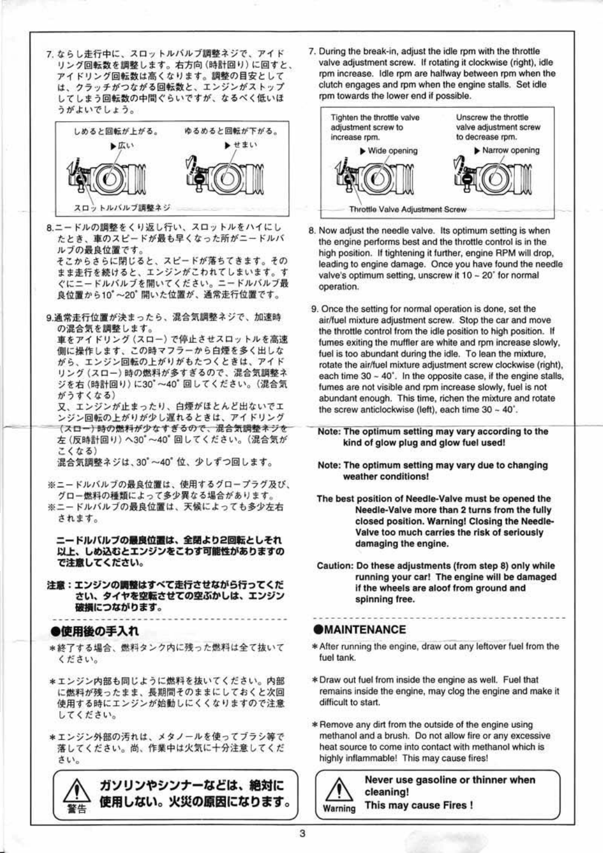7. ならし走行中に、スロットルバルブ調整ネジで、アイド リング回転数を調整します。右方向 (時計回り) に回すと、 アイドリング回転数は高くなります。調整の目安として は、クラッチがつながる回転数と、エンジンがストップ してしまう回転数の中間ぐらいですが、なるべく低いほ うがよいでしょう。



8.ニードルの調整をくり返し行い、スロットルをハイにし たとき、車のスピードが最も早くなった所がニードルバ ルブの最良位置です。 そこからさらに閉じると、スピードが落ちてきます。その

まま走行を続けると、エンジンがこわれてしまいます。す ぐにニードルバルブを開いてください。ニードルバルブ最 良位置から10°~20°開いた位置が、通常走行位置です。

9.通常走行位置が決まったら、混合気調整ネジで、加速時 の混合気を調整します。

車をアイドリング (スロー) で停止させスロットルを高速 側に操作します、この時マフラーから白煙を多く出しな がら、エンジン回転の上がりがもたつくときは、アイド リング (スロー)時の燃料が多すぎるので、混合気調整ネ ジを右 (時計回り)に30'~40'回してください。(混合気 がうすくなる)

又、エンジンが止まったり、白煙がほとんど出ないでエ ンジン回転の上がりが少し遅れるときは、アイドリング (スロー)時の燃料が少なすぎるので、混合気調整ネジを 左 (反時計回り)へ30°~40°回してください。(混合気が こくなる)

混合気調整ネジは、30°~40°位、少しずつ回します。

- ※ニードルバルブの最良位置は、使用するグロープラグ及び、 グロー燃料の種類によって多少異なる場合があります。
- ※ニードルバルブの最良位置は、天候によっても多少左右 されます。

ニードルバルブの最良位置は、全閉より2回転としそれ 以上、しめ込むとエンジンをこわす可能性がありますの で注意してください。

注意:エンジンの調整はすべて走行させながら行ってくだ さい、タイヤを空転させての空ぶかしは、エンジン 破損につながります。

#### ●使用後の手入れ

\*終了する場合、燃料タンク内に残った燃料は全て抜いて ください。

7. During the break-in, adjust the idle rpm with the throttle valve adjustment screw. If rotating it clockwise (right), idle rpm increase. Idle rpm are halfway between rpm when the clutch engages and rpm when the engine stalls. Set idle rpm towards the lower end if possible.



- 8. Now adjust the needle valve. Its optimum setting is when the engine performs best and the throttle control is in the high position. If tightening it further, engine RPM will drop, leading to engine damage. Once you have found the needle valve's optimum setting, unscrew it 10 - 20° for normal operation.
- 9. Once the setting for normal operation is done, set the air/fuel mixture adjustment screw. Stop the car and move the throttle control from the idle position to high position. If fumes exiting the muffler are white and rpm increase slowly, fuel is too abundant during the idle. To lean the mixture, rotate the air/fuel mixture adjustment screw clockwise (right), each time 30 ~ 40'. In the opposite case, if the engine stalls, fumes are not visible and rpm increase slowly, fuel is not abundant enough. This time, richen the mixture and rotate the screw anticlockwise (left), each time 30 - 40'.

Note: The optimum setting may vary according to the kind of glow plug and glow fuel used!

- Note: The optimum setting may vary due to changing weather conditions!
- The best position of Needle-Valve must be opened the Needle-Valve more than 2 turns from the fully closed position. Warning! Closing the Needle-Valve too much carries the risk of seriously damaging the engine.
- Caution: Do these adjustments (from step 8) only while running your car! The engine will be damaged if the wheels are aloof from ground and spinning free.

#### **OMAINTENANCE**

3

\* After running the engine, draw out any leftover fuel from the fuel tank.

\* Draw out fuel from inside the engine as well. Fuel that remains inside the engine, may clog the engine and make it difficult to start.

\*エンジン内部も同じように燃料を抜いてください。内部 に燃料が残ったまま、長期間そのままにしておくと次回 使用する時にエンジンが始動しにくくなりますので注意 してください。

\*エンジン外部の汚れは、メタノールを使ってブラシ等で 落してください。尚、作業中は火気に十分注意してくだ さい。

ガソリンやシンナーなどは、絶対に 使用しない。火災の原因になります。 警告

\* Remove any dirt from the outside of the engine using methanol and a brush. Do not allow fire or any excessive heat source to come into contact with methanol which is highly inflammable! This may cause fires!

Never use gasoline or thinner when cleaning! This may cause Fires! Warning